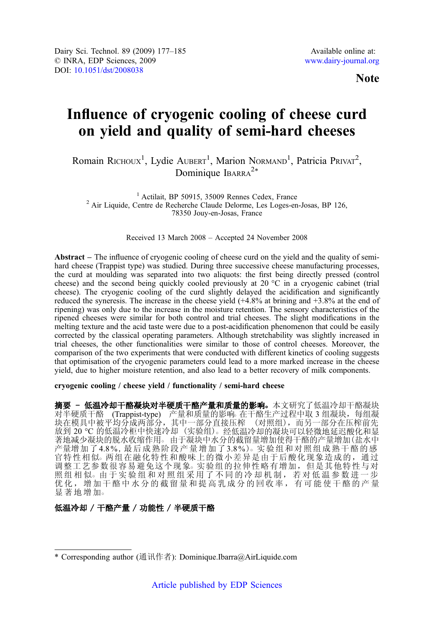Note

# Influence of cryogenic cooling of cheese curd on yield and quality of semi-hard cheeses

Romain RICHOUX<sup>1</sup>, Lydie AUBERT<sup>1</sup>, Marion NORMAND<sup>1</sup>, Patricia PRIVAT<sup>2</sup>, Dominique IBARR $A^{2*}$ 

<sup>1</sup> Actilait, BP 50915, 35009 Rennes Cedex, France <sup>2</sup> Air Liquide, Centre de Recherche Claude Delorme, Les Loges-en-Josas, BP 126, 78350 Jouy-en-Josas, France

#### Received 13 March 2008 – Accepted 24 November 2008

Abstract – The influence of cryogenic cooling of cheese curd on the yield and the quality of semihard cheese (Trappist type) was studied. During three successive cheese manufacturing processes, the curd at moulding was separated into two aliquots: the first being directly pressed (control cheese) and the second being quickly cooled previously at 20  $\degree$ C in a cryogenic cabinet (trial cheese). The cryogenic cooling of the curd slightly delayed the acidification and significantly reduced the syneresis. The increase in the cheese yield (+4.8% at brining and +3.8% at the end of ripening) was only due to the increase in the moisture retention. The sensory characteristics of the ripened cheeses were similar for both control and trial cheeses. The slight modifications in the melting texture and the acid taste were due to a post-acidification phenomenon that could be easily corrected by the classical operating parameters. Although stretchability was slightly increased in trial cheeses, the other functionalities were similar to those of control cheeses. Moreover, the comparison of the two experiments that were conducted with different kinetics of cooling suggests that optimisation of the cryogenic parameters could lead to a more marked increase in the cheese yield, due to higher moisture retention, and also lead to a better recovery of milk components.

cryogenic cooling / cheese yield / functionality / semi-hard cheese

摘要 - 低温冷却干酪凝块对半硬质干酪产量和质量的影响。本文研究了低温冷却干酪凝块 对半硬质干酪 (Trappist-type) 产量和质量的影响。在干酪生产过程中取 3 组凝块, 每组凝 块在模具中被平均分成两部分,其中一部分直接压榨 (对照组),而另一部分在压榨前先 放到 20 ℃ 的低温冷柜中快速冷却 (实验组)。经低温冷却的凝块可以轻微地延迟酸化和显 著地减少凝块的脱水收缩作用。由于凝块中水分的截留量增加使得干酪的产量增加(盐水中 产量增加了4.8%,最后成熟阶段产量增加了3.8%)。实验组和对照组成熟干酪的感 官特性相似。两组在融化特性和酸味上的微小差异是由于后酸化现象造成的,通过 调整工艺参数很容易避免这个现象。实验组的拉伸性略有增加,但是其他特性与对 照组相似。由于实验组和对照组采用了不同的冷却机制, 若对低温参数进一步 优化, 增加干酪中水分的截留量和提高乳成分的回收率, 有可能使干酪的产量 显著地增加。

# 低温冷却 / 干酪产量 / 功能性 / 半硬质干酪

<sup>\*</sup> Corresponding author (通讯作者): Dominique.Ibarra@AirLiquide.com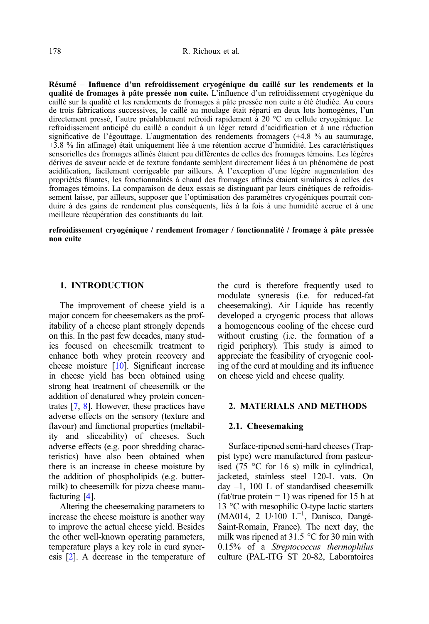Résumé – Influence d'un refroidissement cryogénique du caillé sur les rendements et la qualité de fromages à pâte pressée non cuite. L'influence d'un refroidissement cryogénique du caillé sur la qualité et les rendements de fromages à pâte pressée non cuite a été étudiée. Au cours de trois fabrications successives, le caillé au moulage était réparti en deux lots homogènes, l'un directement pressé, l'autre préalablement refroidi rapidement à 20 °C en cellule cryogénique. Le refroidissement anticipé du caillé a conduit à un léger retard d'acidification et à une réduction significative de l'égouttage. L'augmentation des rendements fromagers (+4.8 % au saumurage, +3.8 % fin affinage) était uniquement liée à une rétention accrue d'humidité. Les caractéristiques sensorielles des fromages affinés étaient peu différentes de celles des fromages témoins. Les légères dérives de saveur acide et de texture fondante semblent directement liées à un phénomène de post acidification, facilement corrigeable par ailleurs. À l'exception d'une légère augmentation des propriétés filantes, les fonctionnalités à chaud des fromages affinés étaient similaires à celles des fromages témoins. La comparaison de deux essais se distinguant par leurs cinétiques de refroidissement laisse, par ailleurs, supposer que l'optimisation des paramètres cryogéniques pourrait conduire à des gains de rendement plus conséquents, liés à la fois à une humidité accrue et à une meilleure récupération des constituants du lait.

#### refroidissement cryogénique / rendement fromager / fonctionnalité / fromage à pâte pressée non cuite

#### 1. INTRODUCTION

The improvement of cheese yield is a major concern for cheesemakers as the profitability of a cheese plant strongly depends on this. In the past few decades, many studies focused on cheesemilk treatment to enhance both whey protein recovery and cheese moisture  $[10]$  $[10]$ . Significant increase in cheese yield has been obtained using strong heat treatment of cheesemilk or the addition of denatured whey protein concentrates [\[7,](#page-8-0) [8\]](#page-8-0). However, these practices have adverse effects on the sensory (texture and flavour) and functional properties (meltability and sliceability) of cheeses. Such adverse effects (e.g. poor shredding characteristics) have also been obtained when there is an increase in cheese moisture by the addition of phospholipids (e.g. buttermilk) to cheesemilk for pizza cheese manufacturing [\[4\]](#page-7-0).

Altering the cheesemaking parameters to increase the cheese moisture is another way to improve the actual cheese yield. Besides the other well-known operating parameters, temperature plays a key role in curd syneresis [[2\]](#page-7-0). A decrease in the temperature of the curd is therefore frequently used to modulate syneresis (i.e. for reduced-fat cheesemaking). Air Liquide has recently developed a cryogenic process that allows a homogeneous cooling of the cheese curd without crusting (i.e. the formation of a rigid periphery). This study is aimed to appreciate the feasibility of cryogenic cooling of the curd at moulding and its influence on cheese yield and cheese quality.

#### 2. MATERIALS AND METHODS

#### 2.1. Cheesemaking

Surface-ripened semi-hard cheeses (Trappist type) were manufactured from pasteurised (75 °C for 16 s) milk in cylindrical, jacketed, stainless steel 120-L vats. On day  $-1$ , 100 L of standardised cheesemilk  $(fat/true)$  protein = 1) was ripened for 15 h at 13 °C with mesophilic O-type lactic starters (MA014, 2 U·100 L−<sup>1</sup> , Danisco, Dangé-Saint-Romain, France). The next day, the milk was ripened at 31.5 °C for 30 min with 0.15% of a Streptococcus thermophilus culture (PAL-ITG ST 20-82, Laboratoires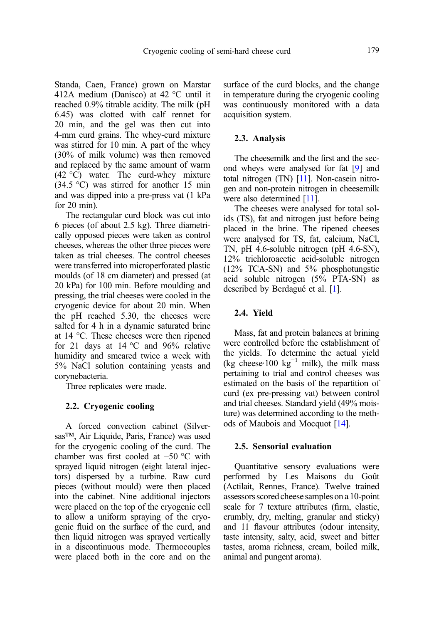Standa, Caen, France) grown on Marstar 412A medium (Danisco) at 42 °C until it reached 0.9% titrable acidity. The milk (pH 6.45) was clotted with calf rennet for 20 min, and the gel was then cut into 4-mm curd grains. The whey-curd mixture was stirred for 10 min. A part of the whey (30% of milk volume) was then removed and replaced by the same amount of warm (42 °C) water. The curd-whey mixture (34.5 °C) was stirred for another 15 min and was dipped into a pre-press vat (1 kPa for 20 min).

The rectangular curd block was cut into 6 pieces (of about 2.5 kg). Three diametrically opposed pieces were taken as control cheeses, whereas the other three pieces were taken as trial cheeses. The control cheeses were transferred into microperforated plastic moulds (of 18 cm diameter) and pressed (at 20 kPa) for 100 min. Before moulding and pressing, the trial cheeses were cooled in the cryogenic device for about 20 min. When the pH reached 5.30, the cheeses were salted for 4 h in a dynamic saturated brine at 14 °C. These cheeses were then ripened for 21 days at 14 °C and 96% relative humidity and smeared twice a week with 5% NaCl solution containing yeasts and corynebacteria.

Three replicates were made.

# 2.2. Cryogenic cooling

A forced convection cabinet (Silversas™, Air Liquide, Paris, France) was used for the cryogenic cooling of the curd. The chamber was first cooled at −50 °C with sprayed liquid nitrogen (eight lateral injectors) dispersed by a turbine. Raw curd pieces (without mould) were then placed into the cabinet. Nine additional injectors were placed on the top of the cryogenic cell to allow a uniform spraying of the cryogenic fluid on the surface of the curd, and then liquid nitrogen was sprayed vertically in a discontinuous mode. Thermocouples were placed both in the core and on the surface of the curd blocks, and the change in temperature during the cryogenic cooling was continuously monitored with a data acquisition system.

# 2.3. Analysis

The cheesemilk and the first and the second wheys were analysed for fat [\[9](#page-8-0)] and total nitrogen (TN) [\[11\]](#page-8-0). Non-casein nitrogen and non-protein nitrogen in cheesemilk were also determined [[11](#page-8-0)].

The cheeses were analysed for total solids (TS), fat and nitrogen just before being placed in the brine. The ripened cheeses were analysed for TS, fat, calcium, NaCl, TN, pH 4.6-soluble nitrogen (pH 4.6-SN), 12% trichloroacetic acid-soluble nitrogen (12% TCA-SN) and 5% phosphotungstic acid soluble nitrogen (5% PTA-SN) as described by Berdagué et al. [\[1](#page-7-0)].

# 2.4. Yield

Mass, fat and protein balances at brining were controlled before the establishment of the yields. To determine the actual yield (kg cheese 100 kg<sup>-1</sup> milk), the milk mass pertaining to trial and control cheeses was estimated on the basis of the repartition of curd (ex pre-pressing vat) between control and trial cheeses. Standard yield (49% moisture) was determined according to the methods of Maubois and Mocquot [\[14](#page-8-0)].

#### 2.5. Sensorial evaluation

Quantitative sensory evaluations were performed by Les Maisons du Goût (Actilait, Rennes, France). Twelve trained assessors scored cheese samples on a 10-point scale for 7 texture attributes (firm, elastic, crumbly, dry, melting, granular and sticky) and 11 flavour attributes (odour intensity, taste intensity, salty, acid, sweet and bitter tastes, aroma richness, cream, boiled milk, animal and pungent aroma).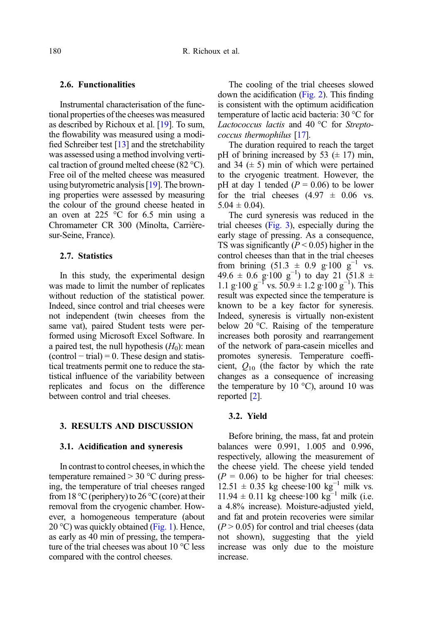#### 2.6. Functionalities

Instrumental characterisation of the functional properties of the cheeses was measured as described by Richoux et al. [\[19](#page-8-0)]. To sum, the flowability was measured using a modified Schreiber test [\[13\]](#page-8-0) and the stretchability was assessed using a method involving vertical traction of ground melted cheese (82 °C). Free oil of the melted cheese was measured using butyrometric analysis [\[19\]](#page-8-0). The browning properties were assessed by measuring the colour of the ground cheese heated in an oven at 225  $\degree$ C for 6.5 min using a Chromameter CR 300 (Minolta, Carrièresur-Seine, France).

#### 2.7. Statistics

In this study, the experimental design was made to limit the number of replicates without reduction of the statistical power. Indeed, since control and trial cheeses were not independent (twin cheeses from the same vat), paired Student tests were performed using Microsoft Excel Software. In a paired test, the null hypothesis  $(H_0)$ : mean  $(control - trial) = 0$ . These design and statistical treatments permit one to reduce the statistical influence of the variability between replicates and focus on the difference between control and trial cheeses.

#### 3. RESULTS AND DISCUSSION

#### 3.1. Acidification and syneresis

In contrast to control cheeses, in which the temperature remained  $> 30$  °C during pressing, the temperature of trial cheeses ranged from 18 °C (periphery) to 26 °C (core) at their removal from the cryogenic chamber. However, a homogeneous temperature (about 20 °C) was quickly obtained ([Fig. 1\)](#page-4-0). Hence, as early as 40 min of pressing, the temperature of the trial cheeses was about 10 °C less compared with the control cheeses.

The cooling of the trial cheeses slowed down the acidification [\(Fig. 2](#page-4-0)). This finding is consistent with the optimum acidification temperature of lactic acid bacteria: 30 °C for Lactococcus lactis and 40 °C for Streptococcus thermophilus [\[17\]](#page-8-0).

The duration required to reach the target pH of brining increased by 53  $(\pm 17)$  min, and 34  $(\pm 5)$  min of which were pertained to the cryogenic treatment. However, the pH at day 1 tended ( $P = 0.06$ ) to be lower for the trial cheeses  $(4.97 \pm 0.06 \text{ vs.}$  $5.04 \pm 0.04$ .

The curd syneresis was reduced in the trial cheeses [\(Fig. 3](#page-5-0)), especially during the early stage of pressing. As a consequence, TS was significantly  $(P < 0.05)$  higher in the control cheeses than that in the trial cheeses from brining  $(51.3 \pm 0.9 \text{ g} \cdot 100 \text{ g}^{-1} \text{ vs.})$  $49.6 \pm 0.6$  g·100 g<sup>-1</sup>) to day 21 (51.8 ± 1.1 g·100 g<sup>-1</sup> vs. 50.9  $\pm$  1.2 g·100 g<sup>-1</sup>). This result was expected since the temperature is known to be a key factor for syneresis. Indeed, syneresis is virtually non-existent below 20 °C. Raising of the temperature increases both porosity and rearrangement of the network of para-casein micelles and promotes syneresis. Temperature coefficient,  $Q_{10}$  (the factor by which the rate changes as a consequence of increasing the temperature by 10  $^{\circ}$ C), around 10 was reported [[2\]](#page-7-0).

#### 3.2. Yield

Before brining, the mass, fat and protein balances were 0.991, 1.005 and 0.996, respectively, allowing the measurement of the cheese yield. The cheese yield tended  $(P = 0.06)$  to be higher for trial cheeses:  $12.51 \pm 0.35$  kg cheese 100 kg<sup>-1</sup> milk vs. 11.94 ± 0.11 kg cheese 100 kg<sup>-1</sup> milk (i.e. a 4.8% increase). Moisture-adjusted yield, and fat and protein recoveries were similar  $(P > 0.05)$  for control and trial cheeses (data not shown), suggesting that the yield increase was only due to the moisture increase.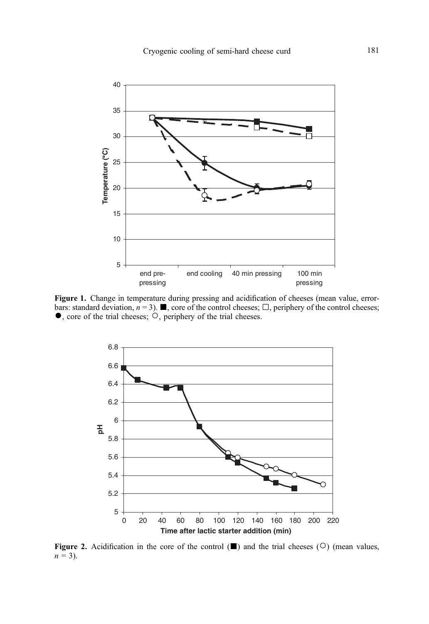<span id="page-4-0"></span>

Figure 1. Change in temperature during pressing and acidification of cheeses (mean value, errorbars: standard deviation,  $n = 3$ ).  $\blacksquare$ , core of the control cheeses;  $\Box$ , periphery of the control cheeses; ●, core of the trial cheeses; ○, periphery of the trial cheeses.



Figure 2. Acidification in the core of the control  $(\blacksquare)$  and the trial cheeses ( $\bigcirc$ ) (mean values,  $n = 3$ ).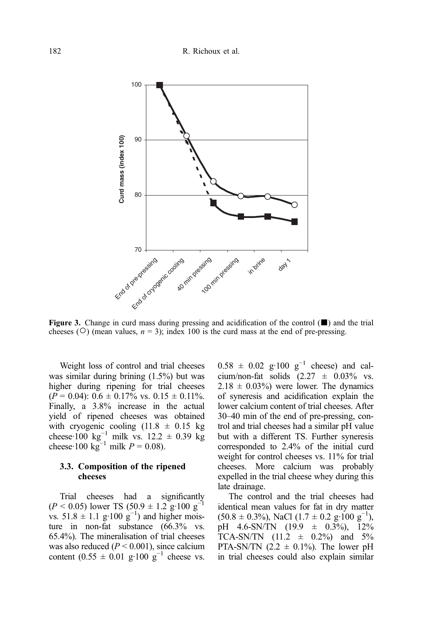<span id="page-5-0"></span>

Figure 3. Change in curd mass during pressing and acidification of the control (■) and the trial cheeses ( $\circ$ ) (mean values,  $n = 3$ ); index 100 is the curd mass at the end of pre-pressing.

Weight loss of control and trial cheeses was similar during brining (1.5%) but was higher during ripening for trial cheeses  $(P = 0.04)$ :  $0.6 \pm 0.17\%$  vs.  $0.15 \pm 0.11\%$ . Finally, a 3.8% increase in the actual yield of ripened cheeses was obtained with cryogenic cooling  $(11.8 \pm 0.15 \text{ kg})$ cheese 100 kg<sup>-1</sup> milk vs. 12.2 ± 0.39 kg cheese 100 kg<sup>-1</sup> milk  $P = 0.08$ ).

### 3.3. Composition of the ripened cheeses

Trial cheeses had a significantly  $(P < 0.05)$  lower TS  $(50.9 \pm 1.2 \text{ g} \cdot 100 \text{ g}^{-1})$ vs.  $51.8 \pm 1.1$  g·100 g<sup>-1</sup>) and higher moisture in non-fat substance (66.3% vs. 65.4%). The mineralisation of trial cheeses was also reduced ( $P < 0.001$ ), since calcium content (0.55  $\pm$  0.01 g·100 g<sup>-1</sup> cheese vs.  $0.58 \pm 0.02$  g·100 g<sup>-1</sup> cheese) and calcium/non-fat solids  $(2.27 \pm 0.03\% \text{ vs.}$  $2.18 \pm 0.03\%$  were lower. The dynamics of syneresis and acidification explain the lower calcium content of trial cheeses. After 30–40 min of the end of pre-pressing, control and trial cheeses had a similar pH value but with a different TS. Further syneresis corresponded to 2.4% of the initial curd weight for control cheeses vs. 11% for trial cheeses. More calcium was probably expelled in the trial cheese whey during this late drainage.

The control and the trial cheeses had identical mean values for fat in dry matter  $(50.8 \pm 0.3\%)$ , NaCl  $(1.7 \pm 0.2 \text{ g} \cdot 100 \text{ g}^{-1})$ , pH 4.6-SN/TN  $(19.9 \pm 0.3\%)$ , 12% TCA-SN/TN  $(11.2 \pm 0.2\%)$  and 5% PTA-SN/TN  $(2.2 \pm 0.1\%)$ . The lower pH in trial cheeses could also explain similar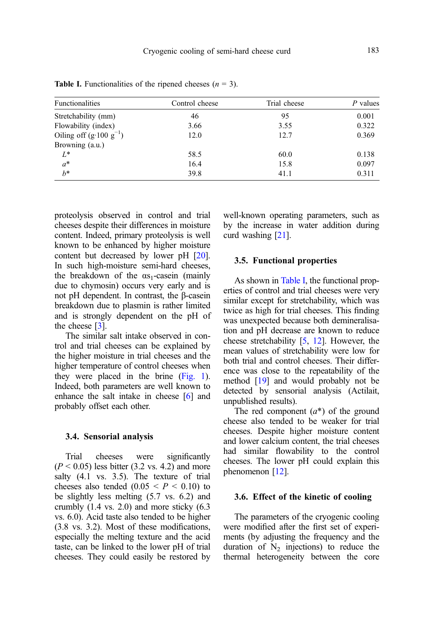| Functionalities                           | Control cheese | Trial cheese | P values |
|-------------------------------------------|----------------|--------------|----------|
| Stretchability (mm)                       | 46             | 95           | 0.001    |
| Flowability (index)                       | 3.66           | 3.55         | 0.322    |
| Oiling off $(g \cdot 100 \text{ g}^{-1})$ | 12.0           | 12.7         | 0.369    |
| Browning (a.u.)                           |                |              |          |
| $L^*$                                     | 58.5           | 60.0         | 0.138    |
| $a^*$                                     | 16.4           | 15.8         | 0.097    |
| $h^*$                                     | 39.8           | 41.1         | 0.311    |

**Table I.** Functionalities of the ripened cheeses  $(n = 3)$ .

proteolysis observed in control and trial cheeses despite their differences in moisture content. Indeed, primary proteolysis is well known to be enhanced by higher moisture content but decreased by lower pH [\[20](#page-8-0)]. In such high-moisture semi-hard cheeses, the breakdown of the  $\alpha s_1$ -casein (mainly due to chymosin) occurs very early and is not pH dependent. In contrast, the β-casein breakdown due to plasmin is rather limited and is strongly dependent on the pH of the cheese [\[3](#page-7-0)].

The similar salt intake observed in control and trial cheeses can be explained by the higher moisture in trial cheeses and the higher temperature of control cheeses when they were placed in the brine [\(Fig. 1\)](#page-4-0). Indeed, both parameters are well known to enhance the salt intake in cheese [\[6\]](#page-7-0) and probably offset each other.

#### 3.4. Sensorial analysis

Trial cheeses were significantly  $(P < 0.05)$  less bitter (3.2 vs. 4.2) and more salty (4.1 vs. 3.5). The texture of trial cheeses also tended  $(0.05 \le P \le 0.10)$  to be slightly less melting (5.7 vs. 6.2) and crumbly (1.4 vs. 2.0) and more sticky (6.3 vs. 6.0). Acid taste also tended to be higher (3.8 vs. 3.2). Most of these modifications, especially the melting texture and the acid taste, can be linked to the lower pH of trial cheeses. They could easily be restored by well-known operating parameters, such as by the increase in water addition during curd washing [[21](#page-8-0)].

#### 3.5. Functional properties

As shown in Table I, the functional properties of control and trial cheeses were very similar except for stretchability, which was twice as high for trial cheeses. This finding was unexpected because both demineralisation and pH decrease are known to reduce cheese stretchability [\[5,](#page-7-0) [12](#page-8-0)]. However, the mean values of stretchability were low for both trial and control cheeses. Their difference was close to the repeatability of the method [\[19\]](#page-8-0) and would probably not be detected by sensorial analysis (Actilait, unpublished results).

The red component  $(a^*)$  of the ground cheese also tended to be weaker for trial cheeses. Despite higher moisture content and lower calcium content, the trial cheeses had similar flowability to the control cheeses. The lower pH could explain this phenomenon [\[12\]](#page-8-0).

#### 3.6. Effect of the kinetic of cooling

The parameters of the cryogenic cooling were modified after the first set of experiments (by adjusting the frequency and the duration of  $N_2$  injections) to reduce the thermal heterogeneity between the core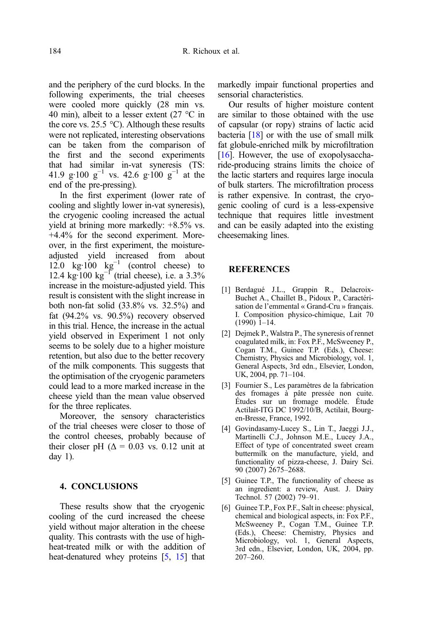<span id="page-7-0"></span>and the periphery of the curd blocks. In the following experiments, the trial cheeses were cooled more quickly (28 min vs. 40 min), albeit to a lesser extent  $(27 \text{ °C} \text{ in }$ the core vs. 25.5  $^{\circ}$ C). Although these results were not replicated, interesting observations can be taken from the comparison of the first and the second experiments that had similar in-vat syneresis (TS: 41.9 g·100 g−<sup>1</sup> vs. 42.6 g·100 g−<sup>1</sup> at the end of the pre-pressing).

In the first experiment (lower rate of cooling and slightly lower in-vat syneresis), the cryogenic cooling increased the actual yield at brining more markedly: +8.5% vs. +4.4% for the second experiment. Moreover, in the first experiment, the moistureadjusted yield increased from about 12.0 kg·100 kg<sup> $-1$ </sup> (control cheese) to 12.4 kg·100 kg<sup> $-1$ </sup> (trial cheese), i.e. a 3.3% increase in the moisture-adjusted yield. This result is consistent with the slight increase in both non-fat solid (33.8% vs. 32.5%) and fat (94.2% vs. 90.5%) recovery observed in this trial. Hence, the increase in the actual yield observed in Experiment 1 not only seems to be solely due to a higher moisture retention, but also due to the better recovery of the milk components. This suggests that the optimisation of the cryogenic parameters could lead to a more marked increase in the cheese yield than the mean value observed for the three replicates.

Moreover, the sensory characteristics of the trial cheeses were closer to those of the control cheeses, probably because of their closer pH ( $\Delta$  = 0.03 vs. 0.12 unit at day 1).

#### 4. CONCLUSIONS

These results show that the cryogenic cooling of the curd increased the cheese yield without major alteration in the cheese quality. This contrasts with the use of highheat-treated milk or with the addition of heat-denatured whey proteins [5, [15](#page-8-0)] that markedly impair functional properties and sensorial characteristics.

Our results of higher moisture content are similar to those obtained with the use of capsular (or ropy) strains of lactic acid bacteria [\[18\]](#page-8-0) or with the use of small milk fat globule-enriched milk by microfiltration [[16](#page-8-0)]. However, the use of exopolysaccharide-producing strains limits the choice of the lactic starters and requires large inocula of bulk starters. The microfiltration process is rather expensive. In contrast, the cryogenic cooling of curd is a less-expensive technique that requires little investment and can be easily adapted into the existing cheesemaking lines.

#### **REFERENCES**

- [1] Berdagué J.L., Grappin R., Delacroix-Buchet A., Chaillet B., Pidoux P., Caractérisation de l'emmental « Grand-Cru » français. I. Composition physico-chimique, Lait 70 (1990) 1–14.
- [2] Dejmek P., Walstra P., The syneresis of rennet coagulated milk, in: Fox P.F., McSweeney P., Cogan T.M., Guinee T.P. (Eds.), Cheese: Chemistry, Physics and Microbiology, vol. 1, General Aspects, 3rd edn., Elsevier, London, UK, 2004, pp. 71–104.
- [3] Fournier S., Les paramètres de la fabrication des fromages à pâte pressée non cuite. Études sur un fromage modèle. Étude Actilait-ITG DC 1992/10/B, Actilait, Bourgen-Bresse, France, 1992.
- [4] Govindasamy-Lucey S., Lin T., Jaeggi J.J., Martinelli C.J., Johnson M.E., Lucey J.A., Effect of type of concentrated sweet cream buttermilk on the manufacture, yield, and functionality of pizza-cheese, J. Dairy Sci. 90 (2007) 2675–2688.
- [5] Guinee T.P., The functionality of cheese as an ingredient: a review, Aust. J. Dairy Technol. 57 (2002) 79–91.
- [6] Guinee T.P., Fox P.F., Salt in cheese: physical, chemical and biological aspects, in: Fox P.F., McSweeney P., Cogan T.M., Guinee T.P. (Eds.), Cheese: Chemistry, Physics and Microbiology, vol. 1, General Aspects, 3rd edn., Elsevier, London, UK, 2004, pp. 207–260.